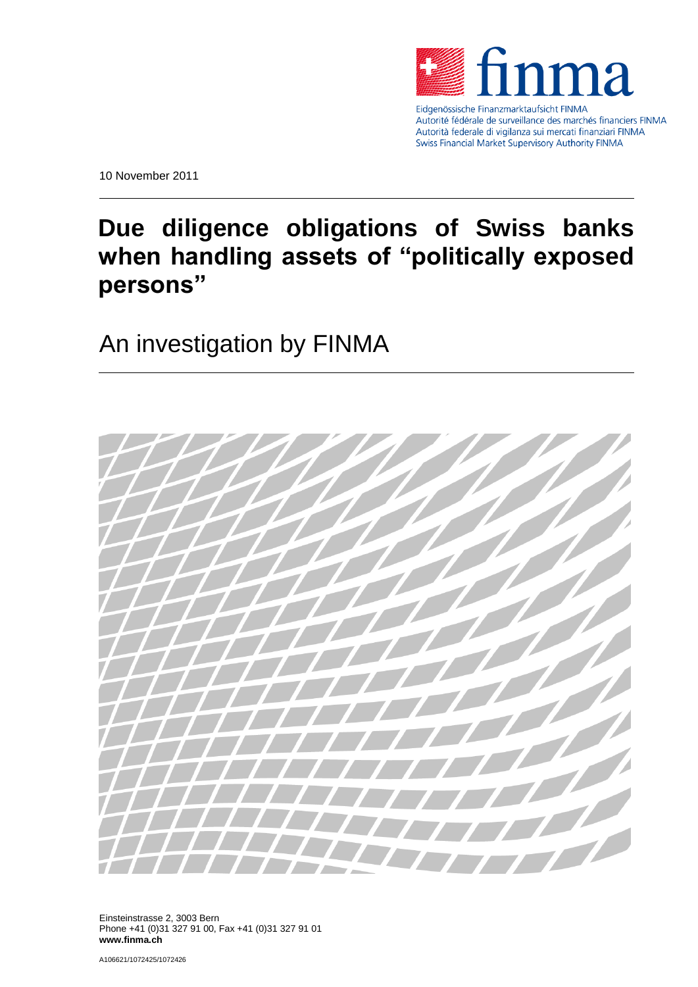

Autorité fédérale de surveillance des marchés financiers FINMA Autorità federale di vigilanza sui mercati finanziari FINMA Swiss Financial Market Supervisory Authority FINMA

10 November 2011

# **Due diligence obligations of Swiss banks when handling assets of "politically exposed persons"**

An investigation by FINMA



Einsteinstrasse 2, 3003 Bern Phone +41 (0)31 327 91 00, Fax +41 (0)31 327 91 01 **www.finma.ch**

A106621/1072425/1072426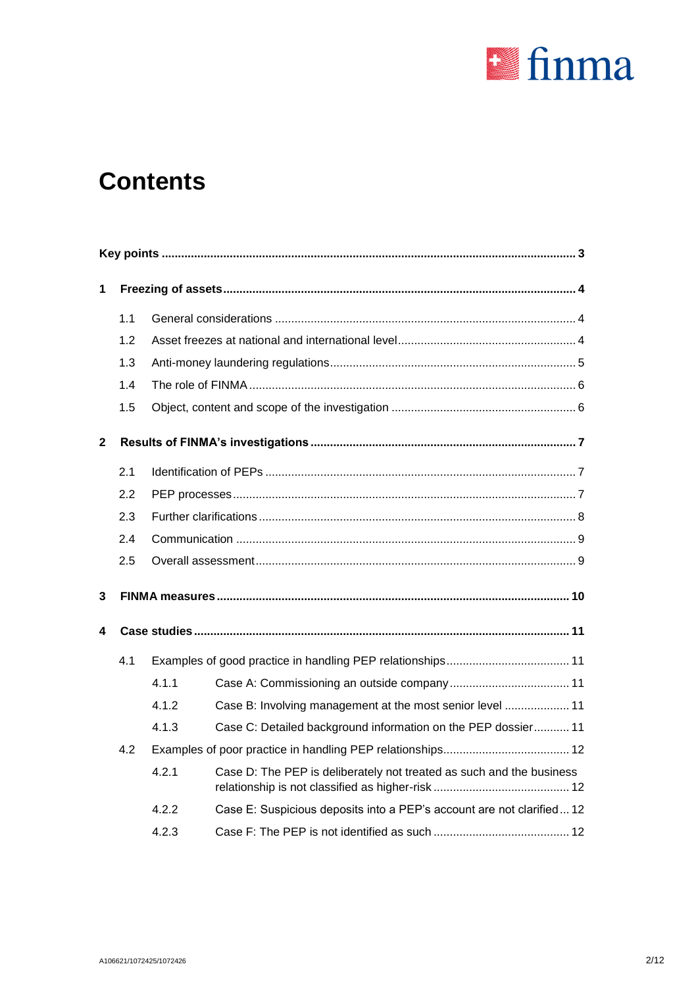

# **Contents**

| 1            |                  |       |                                                                       |  |  |  |  |
|--------------|------------------|-------|-----------------------------------------------------------------------|--|--|--|--|
|              | 1.1              |       |                                                                       |  |  |  |  |
|              | 1.2              |       |                                                                       |  |  |  |  |
|              | 1.3              |       |                                                                       |  |  |  |  |
|              | 1.4              |       |                                                                       |  |  |  |  |
|              | 1.5              |       |                                                                       |  |  |  |  |
| $\mathbf{2}$ |                  |       |                                                                       |  |  |  |  |
|              | 2.1              |       |                                                                       |  |  |  |  |
|              | $2.2\phantom{0}$ |       |                                                                       |  |  |  |  |
|              | 2.3              |       |                                                                       |  |  |  |  |
|              | 2.4              |       |                                                                       |  |  |  |  |
|              | 2.5              |       |                                                                       |  |  |  |  |
| 3            |                  |       |                                                                       |  |  |  |  |
| 4            |                  |       |                                                                       |  |  |  |  |
|              | 4.1              |       |                                                                       |  |  |  |  |
|              |                  | 4.1.1 |                                                                       |  |  |  |  |
|              |                  | 4.1.2 | Case B: Involving management at the most senior level  11             |  |  |  |  |
|              |                  | 4.1.3 | Case C: Detailed background information on the PEP dossier 11         |  |  |  |  |
|              | 4.2              |       |                                                                       |  |  |  |  |
|              |                  | 4.2.1 | Case D: The PEP is deliberately not treated as such and the business  |  |  |  |  |
|              |                  | 4.2.2 | Case E: Suspicious deposits into a PEP's account are not clarified 12 |  |  |  |  |
|              |                  | 4.2.3 |                                                                       |  |  |  |  |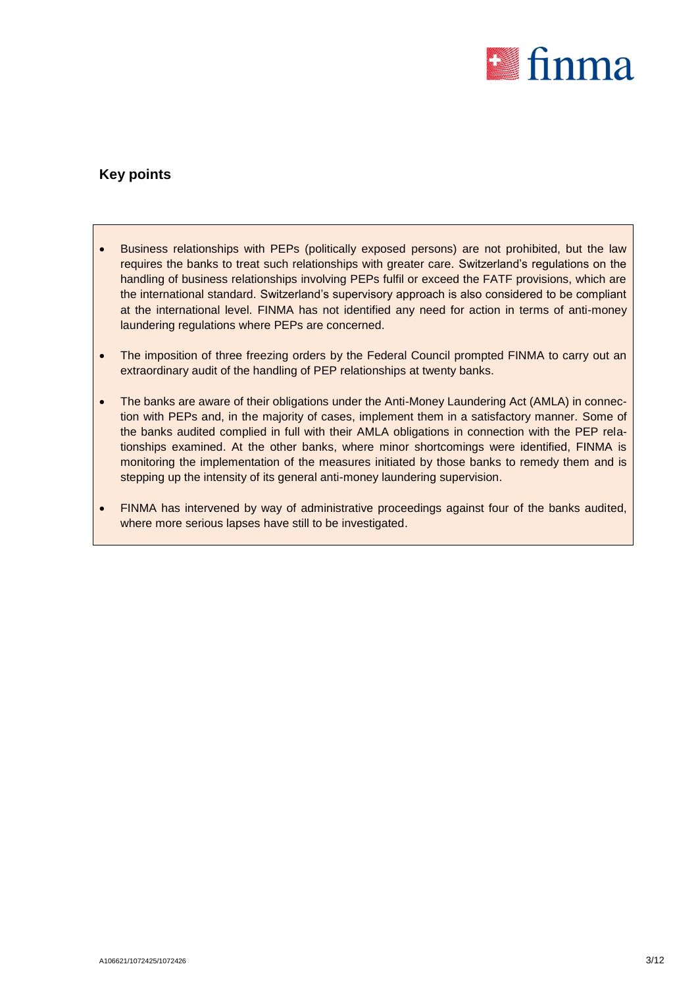

## <span id="page-2-0"></span>**Key points**

- Business relationships with PEPs (politically exposed persons) are not prohibited, but the law requires the banks to treat such relationships with greater care. Switzerland"s regulations on the handling of business relationships involving PEPs fulfil or exceed the FATF provisions, which are the international standard. Switzerland"s supervisory approach is also considered to be compliant at the international level. FINMA has not identified any need for action in terms of anti-money laundering regulations where PEPs are concerned.
- The imposition of three freezing orders by the Federal Council prompted FINMA to carry out an extraordinary audit of the handling of PEP relationships at twenty banks.
- The banks are aware of their obligations under the Anti-Money Laundering Act (AMLA) in connection with PEPs and, in the majority of cases, implement them in a satisfactory manner. Some of the banks audited complied in full with their AMLA obligations in connection with the PEP relationships examined. At the other banks, where minor shortcomings were identified, FINMA is monitoring the implementation of the measures initiated by those banks to remedy them and is stepping up the intensity of its general anti-money laundering supervision.
- FINMA has intervened by way of administrative proceedings against four of the banks audited, where more serious lapses have still to be investigated.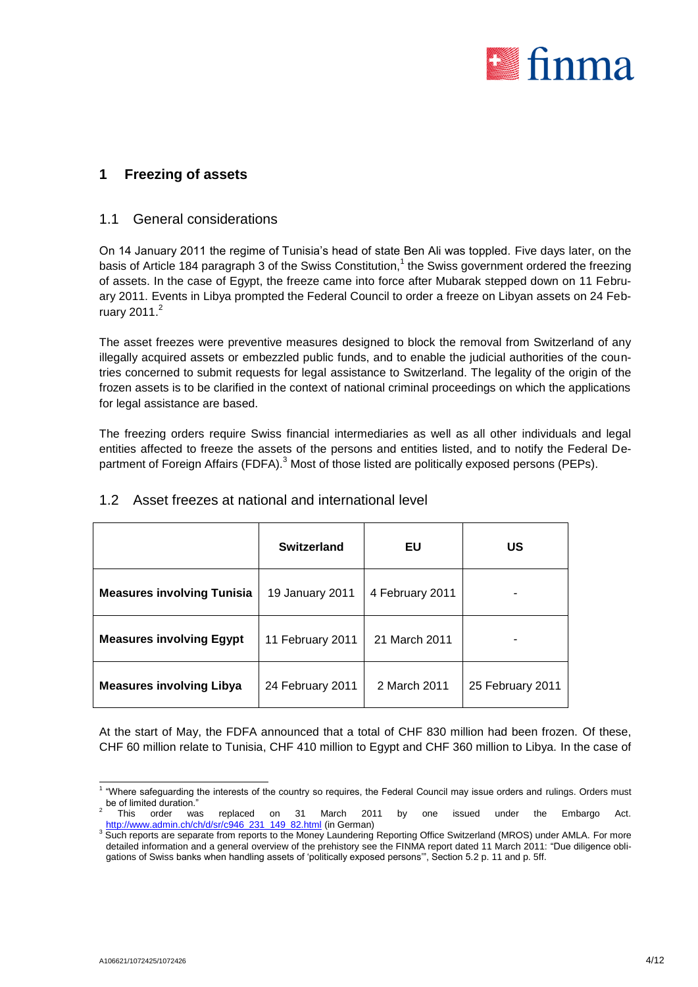

#### <span id="page-3-0"></span>**1 Freezing of assets**

#### <span id="page-3-1"></span>1.1 General considerations

On 14 January 2011 the regime of Tunisia"s head of state Ben Ali was toppled. Five days later, on the basis of Article 184 paragraph 3 of the Swiss Constitution,<sup>1</sup> the Swiss government ordered the freezing of assets. In the case of Egypt, the freeze came into force after Mubarak stepped down on 11 February 2011. Events in Libya prompted the Federal Council to order a freeze on Libyan assets on 24 February  $2011.<sup>2</sup>$ 

The asset freezes were preventive measures designed to block the removal from Switzerland of any illegally acquired assets or embezzled public funds, and to enable the judicial authorities of the countries concerned to submit requests for legal assistance to Switzerland. The legality of the origin of the frozen assets is to be clarified in the context of national criminal proceedings on which the applications for legal assistance are based.

The freezing orders require Swiss financial intermediaries as well as all other individuals and legal entities affected to freeze the assets of the persons and entities listed, and to notify the Federal Department of Foreign Affairs (FDFA).<sup>3</sup> Most of those listed are politically exposed persons (PEPs).

|                                   | Switzerland      | EU              | US               |
|-----------------------------------|------------------|-----------------|------------------|
| <b>Measures involving Tunisia</b> | 19 January 2011  | 4 February 2011 |                  |
| <b>Measures involving Egypt</b>   | 11 February 2011 | 21 March 2011   |                  |
| <b>Measures involving Libya</b>   | 24 February 2011 | 2 March 2011    | 25 February 2011 |

#### <span id="page-3-2"></span>1.2 Asset freezes at national and international level

At the start of May, the FDFA announced that a total of CHF 830 million had been frozen. Of these, CHF 60 million relate to Tunisia, CHF 410 million to Egypt and CHF 360 million to Libya. In the case of

<sup>1</sup> 1 "Where safeguarding the interests of the country so requires, the Federal Council may issue orders and rulings. Orders must be of limited duration.

<sup>2</sup> This order was replaced on 31 March 2011 by one issued under the Embargo Act. [http://www.admin.ch/ch/d/sr/c946\\_231\\_149\\_82.html](http://www.admin.ch/ch/d/sr/c946_231_149_82.html) (in German)

Such reports are separate from reports to the Money Laundering Reporting Office Switzerland (MROS) under AMLA. For more detailed information and a general overview of the prehistory see the FINMA report dated 11 March 2011: "Due diligence obligations of Swiss banks when handling assets of "politically exposed persons"", Section 5.2 p. 11 and p. 5ff.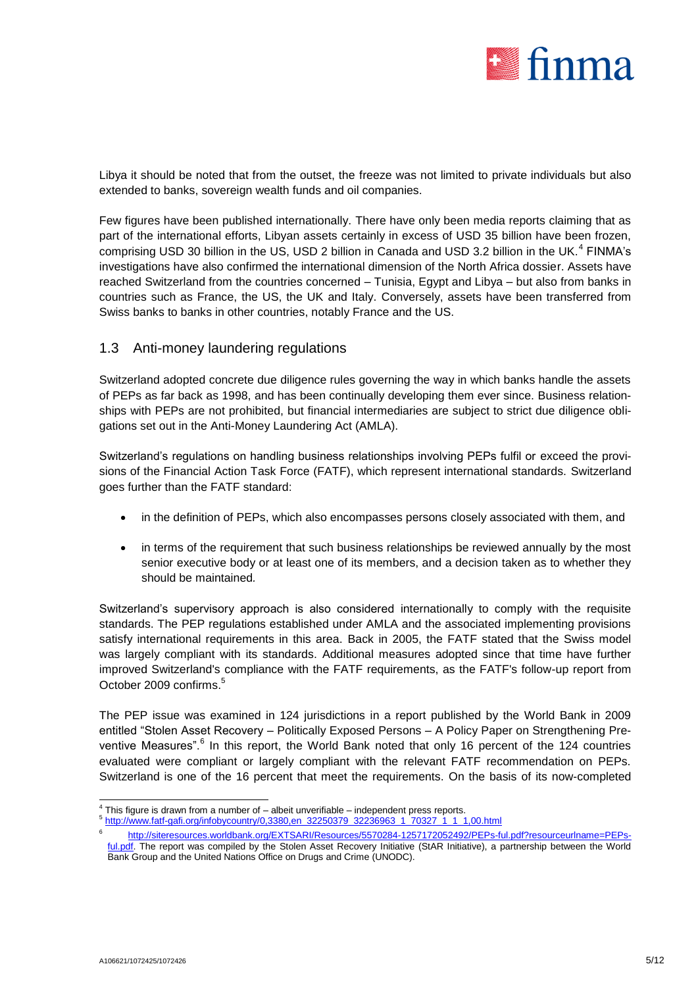

Libya it should be noted that from the outset, the freeze was not limited to private individuals but also extended to banks, sovereign wealth funds and oil companies.

Few figures have been published internationally. There have only been media reports claiming that as part of the international efforts, Libyan assets certainly in excess of USD 35 billion have been frozen, comprising USD 30 billion in the US, USD 2 billion in Canada and USD 3.2 billion in the UK.<sup>4</sup> FINMA's investigations have also confirmed the international dimension of the North Africa dossier. Assets have reached Switzerland from the countries concerned – Tunisia, Egypt and Libya – but also from banks in countries such as France, the US, the UK and Italy. Conversely, assets have been transferred from Swiss banks to banks in other countries, notably France and the US.

#### <span id="page-4-0"></span>1.3 Anti-money laundering regulations

Switzerland adopted concrete due diligence rules governing the way in which banks handle the assets of PEPs as far back as 1998, and has been continually developing them ever since. Business relationships with PEPs are not prohibited, but financial intermediaries are subject to strict due diligence obligations set out in the Anti-Money Laundering Act (AMLA).

Switzerland"s regulations on handling business relationships involving PEPs fulfil or exceed the provisions of the Financial Action Task Force (FATF), which represent international standards. Switzerland goes further than the FATF standard:

- in the definition of PEPs, which also encompasses persons closely associated with them, and
- in terms of the requirement that such business relationships be reviewed annually by the most senior executive body or at least one of its members, and a decision taken as to whether they should be maintained*.*

Switzerland"s supervisory approach is also considered internationally to comply with the requisite standards. The PEP regulations established under AMLA and the associated implementing provisions satisfy international requirements in this area. Back in 2005, the FATF stated that the Swiss model was largely compliant with its standards. Additional measures adopted since that time have further improved Switzerland's compliance with the FATF requirements, as the FATF's follow-up report from October 2009 confirms.<sup>5</sup>

The PEP issue was examined in 124 jurisdictions in a report published by the World Bank in 2009 entitled "Stolen Asset Recovery – Politically Exposed Persons – A Policy Paper on Strengthening Preventive Measures".<sup>6</sup> In this report, the World Bank noted that only 16 percent of the 124 countries evaluated were compliant or largely compliant with the relevant FATF recommendation on PEPs. Switzerland is one of the 16 percent that meet the requirements. On the basis of its now-completed

<sup>-</sup>4 This figure is drawn from a number of – albeit unverifiable – independent press reports.

<sup>5</sup> http://www.fatf-gafi.org/infobycountry/0,3380,en\_32250379\_32236963\_1\_70327\_1\_1\_1,00.html

<sup>6</sup> [http://siteresources.worldbank.org/EXTSARI/Resources/5570284-1257172052492/PEPs-ful.pdf?resourceurlname=PEPs](http://siteresources.worldbank.org/EXTSARI/Resources/5570284-1257172052492/PEPs-ful.pdf?resourceurlname=PEPs-ful.pdf)[ful.pdf.](http://siteresources.worldbank.org/EXTSARI/Resources/5570284-1257172052492/PEPs-ful.pdf?resourceurlname=PEPs-ful.pdf) The report was compiled by the Stolen Asset Recovery Initiative (StAR Initiative), a partnership between the World Bank Group and the United Nations Office on Drugs and Crime (UNODC).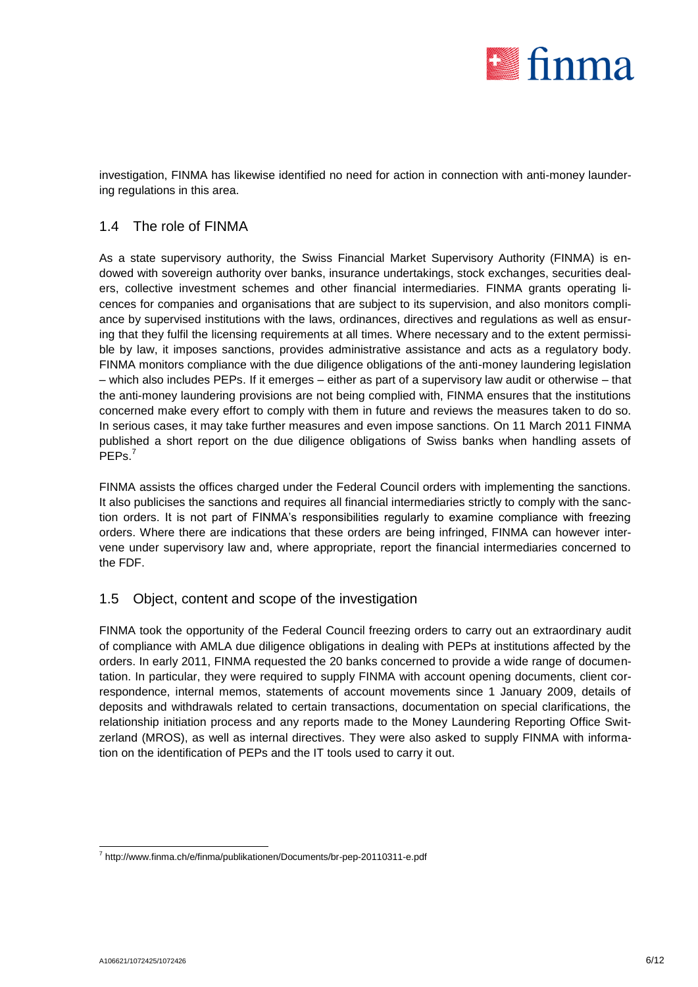

investigation, FINMA has likewise identified no need for action in connection with anti-money laundering regulations in this area.

## <span id="page-5-0"></span>1.4 The role of FINMA

As a state supervisory authority, the Swiss Financial Market Supervisory Authority (FINMA) is endowed with sovereign authority over banks, insurance undertakings, stock exchanges, securities dealers, collective investment schemes and other financial intermediaries. FINMA grants operating licences for companies and organisations that are subject to its supervision, and also monitors compliance by supervised institutions with the laws, ordinances, directives and regulations as well as ensuring that they fulfil the licensing requirements at all times. Where necessary and to the extent permissible by law, it imposes sanctions, provides administrative assistance and acts as a regulatory body. FINMA monitors compliance with the due diligence obligations of the anti-money laundering legislation – which also includes PEPs. If it emerges – either as part of a supervisory law audit or otherwise – that the anti-money laundering provisions are not being complied with, FINMA ensures that the institutions concerned make every effort to comply with them in future and reviews the measures taken to do so. In serious cases, it may take further measures and even impose sanctions. On 11 March 2011 FINMA published a short report on the due diligence obligations of Swiss banks when handling assets of PEPs.<sup>7</sup>

FINMA assists the offices charged under the Federal Council orders with implementing the sanctions. It also publicises the sanctions and requires all financial intermediaries strictly to comply with the sanction orders. It is not part of FINMA's responsibilities regularly to examine compliance with freezing orders. Where there are indications that these orders are being infringed, FINMA can however intervene under supervisory law and, where appropriate, report the financial intermediaries concerned to the FDF.

#### <span id="page-5-1"></span>1.5 Object, content and scope of the investigation

FINMA took the opportunity of the Federal Council freezing orders to carry out an extraordinary audit of compliance with AMLA due diligence obligations in dealing with PEPs at institutions affected by the orders. In early 2011, FINMA requested the 20 banks concerned to provide a wide range of documentation. In particular, they were required to supply FINMA with account opening documents, client correspondence, internal memos, statements of account movements since 1 January 2009, details of deposits and withdrawals related to certain transactions, documentation on special clarifications, the relationship initiation process and any reports made to the Money Laundering Reporting Office Switzerland (MROS), as well as internal directives. They were also asked to supply FINMA with information on the identification of PEPs and the IT tools used to carry it out.

 7 http://www.finma.ch/e/finma/publikationen/Documents/br-pep-20110311-e.pdf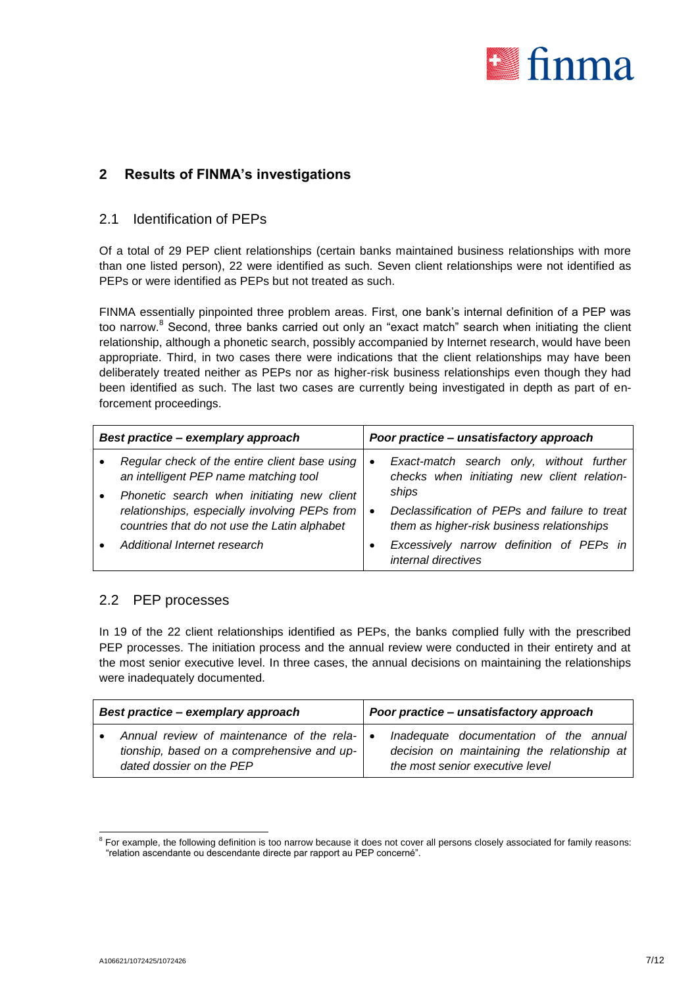

# <span id="page-6-0"></span>**2 Results of FINMA's investigations**

## <span id="page-6-1"></span>2.1 Identification of PEPs

Of a total of 29 PEP client relationships (certain banks maintained business relationships with more than one listed person), 22 were identified as such. Seven client relationships were not identified as PEPs or were identified as PEPs but not treated as such.

FINMA essentially pinpointed three problem areas. First, one bank"s internal definition of a PEP was too narrow.<sup>8</sup> Second, three banks carried out only an "exact match" search when initiating the client relationship, although a phonetic search, possibly accompanied by Internet research, would have been appropriate. Third, in two cases there were indications that the client relationships may have been deliberately treated neither as PEPs nor as higher-risk business relationships even though they had been identified as such. The last two cases are currently being investigated in depth as part of enforcement proceedings.

| Best practice - exemplary approach |                                                                                                                                             |           | Poor practice - unsatisfactory approach                                                              |  |  |
|------------------------------------|---------------------------------------------------------------------------------------------------------------------------------------------|-----------|------------------------------------------------------------------------------------------------------|--|--|
|                                    | Regular check of the entire client base using<br>an intelligent PEP name matching tool                                                      | $\bullet$ | Exact-match search only, without further<br>checks when initiating new client relation-              |  |  |
|                                    | Phonetic search when initiating new client<br>relationships, especially involving PEPs from<br>countries that do not use the Latin alphabet | $\bullet$ | ships<br>Declassification of PEPs and failure to treat<br>them as higher-risk business relationships |  |  |
|                                    | Additional Internet research                                                                                                                |           | Excessively narrow definition of PEPs in<br><i>internal directives</i>                               |  |  |

## <span id="page-6-2"></span>2.2 PEP processes

In 19 of the 22 client relationships identified as PEPs, the banks complied fully with the prescribed PEP processes. The initiation process and the annual review were conducted in their entirety and at the most senior executive level. In three cases, the annual decisions on maintaining the relationships were inadequately documented.

| Best practice - exemplary approach |                                                                                                                               |  | Poor practice - unsatisfactory approach                                                                                  |  |  |
|------------------------------------|-------------------------------------------------------------------------------------------------------------------------------|--|--------------------------------------------------------------------------------------------------------------------------|--|--|
|                                    | Annual review of maintenance of the rela- $\bullet$<br>tionship, based on a comprehensive and up-<br>dated dossier on the PEP |  | Inadequate documentation of the annual<br>decision on maintaining the relationship at<br>the most senior executive level |  |  |

<sup>-</sup><sup>8</sup> For example, the following definition is too narrow because it does not cover all persons closely associated for family reasons: "relation ascendante ou descendante directe par rapport au PEP concerné".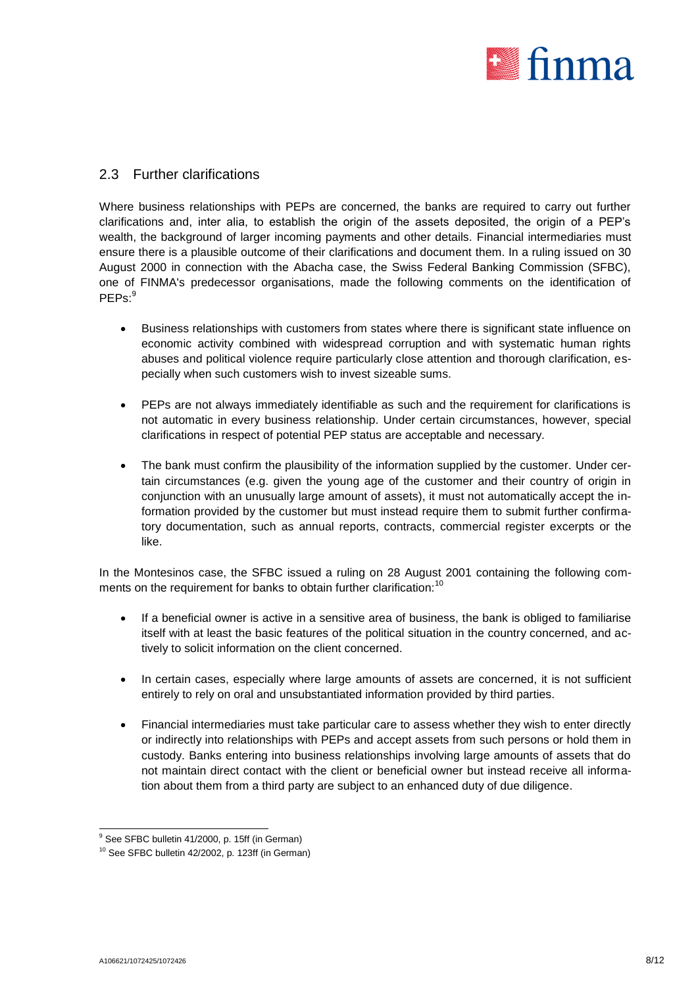

## <span id="page-7-0"></span>2.3 Further clarifications

Where business relationships with PEPs are concerned, the banks are required to carry out further clarifications and, inter alia, to establish the origin of the assets deposited, the origin of a PEP"s wealth, the background of larger incoming payments and other details. Financial intermediaries must ensure there is a plausible outcome of their clarifications and document them. In a ruling issued on 30 August 2000 in connection with the Abacha case, the Swiss Federal Banking Commission (SFBC), one of FINMA's predecessor organisations, made the following comments on the identification of PEPs:<sup>9</sup>

- Business relationships with customers from states where there is significant state influence on economic activity combined with widespread corruption and with systematic human rights abuses and political violence require particularly close attention and thorough clarification, especially when such customers wish to invest sizeable sums.
- PEPs are not always immediately identifiable as such and the requirement for clarifications is not automatic in every business relationship. Under certain circumstances, however, special clarifications in respect of potential PEP status are acceptable and necessary.
- The bank must confirm the plausibility of the information supplied by the customer. Under certain circumstances (e.g. given the young age of the customer and their country of origin in conjunction with an unusually large amount of assets), it must not automatically accept the information provided by the customer but must instead require them to submit further confirmatory documentation, such as annual reports, contracts, commercial register excerpts or the like.

In the Montesinos case, the SFBC issued a ruling on 28 August 2001 containing the following comments on the requirement for banks to obtain further clarification:<sup>10</sup>

- If a beneficial owner is active in a sensitive area of business, the bank is obliged to familiarise itself with at least the basic features of the political situation in the country concerned, and actively to solicit information on the client concerned.
- In certain cases, especially where large amounts of assets are concerned, it is not sufficient entirely to rely on oral and unsubstantiated information provided by third parties.
- Financial intermediaries must take particular care to assess whether they wish to enter directly or indirectly into relationships with PEPs and accept assets from such persons or hold them in custody. Banks entering into business relationships involving large amounts of assets that do not maintain direct contact with the client or beneficial owner but instead receive all information about them from a third party are subject to an enhanced duty of due diligence.

-

<sup>&</sup>lt;sup>9</sup> See SFBC bulletin 41/2000, p. 15ff (in German)

<sup>&</sup>lt;sup>10</sup> See SFBC bulletin 42/2002, p. 123ff (in German)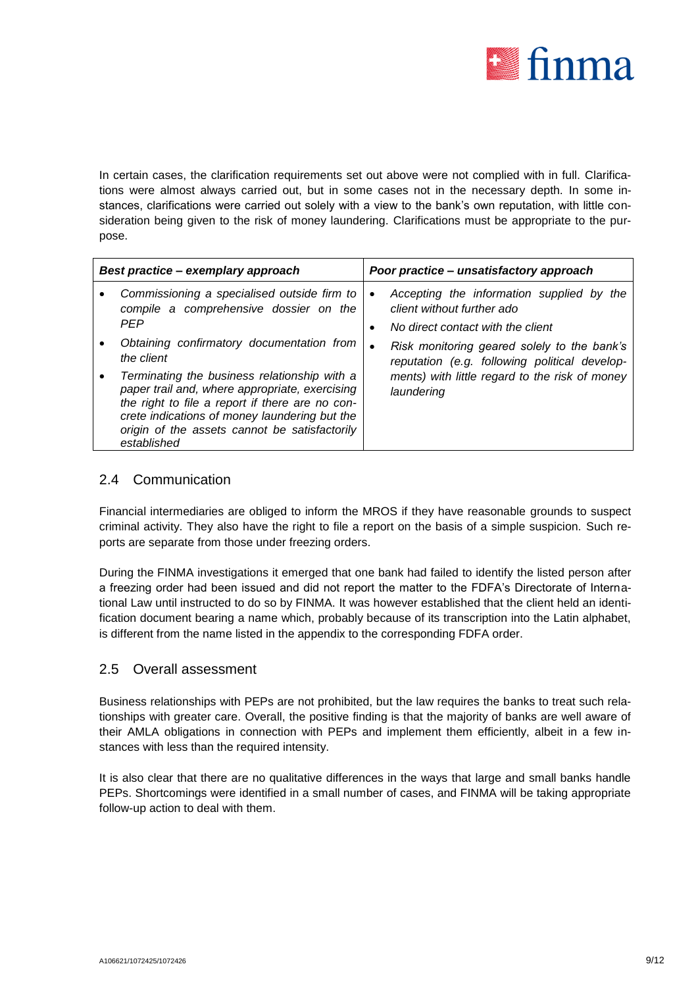

In certain cases, the clarification requirements set out above were not complied with in full. Clarifications were almost always carried out, but in some cases not in the necessary depth. In some instances, clarifications were carried out solely with a view to the bank"s own reputation, with little consideration being given to the risk of money laundering. Clarifications must be appropriate to the purpose.

| Best practice – exemplary approach                                                                                                                                                                                                                                                                                                                                                                                                                | Poor practice - unsatisfactory approach                                                                                                                                                                                                                                                             |  |  |
|---------------------------------------------------------------------------------------------------------------------------------------------------------------------------------------------------------------------------------------------------------------------------------------------------------------------------------------------------------------------------------------------------------------------------------------------------|-----------------------------------------------------------------------------------------------------------------------------------------------------------------------------------------------------------------------------------------------------------------------------------------------------|--|--|
| Commissioning a specialised outside firm to<br>compile a comprehensive dossier on the<br><b>PEP</b><br>Obtaining confirmatory documentation from<br>$\bullet$<br>the client<br>Terminating the business relationship with a<br>paper trail and, where appropriate, exercising<br>the right to file a report if there are no con-<br>crete indications of money laundering but the<br>origin of the assets cannot be satisfactorily<br>established | Accepting the information supplied by the<br>$\bullet$<br>client without further ado<br>No direct contact with the client<br>٠<br>Risk monitoring geared solely to the bank's<br>٠<br>reputation (e.g. following political develop-<br>ments) with little regard to the risk of money<br>laundering |  |  |

#### <span id="page-8-0"></span>2.4 Communication

Financial intermediaries are obliged to inform the MROS if they have reasonable grounds to suspect criminal activity. They also have the right to file a report on the basis of a simple suspicion. Such reports are separate from those under freezing orders.

During the FINMA investigations it emerged that one bank had failed to identify the listed person after a freezing order had been issued and did not report the matter to the FDFA"s Directorate of International Law until instructed to do so by FINMA. It was however established that the client held an identification document bearing a name which, probably because of its transcription into the Latin alphabet, is different from the name listed in the appendix to the corresponding FDFA order.

#### <span id="page-8-1"></span>2.5 Overall assessment

Business relationships with PEPs are not prohibited, but the law requires the banks to treat such relationships with greater care. Overall, the positive finding is that the majority of banks are well aware of their AMLA obligations in connection with PEPs and implement them efficiently, albeit in a few instances with less than the required intensity.

It is also clear that there are no qualitative differences in the ways that large and small banks handle PEPs. Shortcomings were identified in a small number of cases, and FINMA will be taking appropriate follow-up action to deal with them.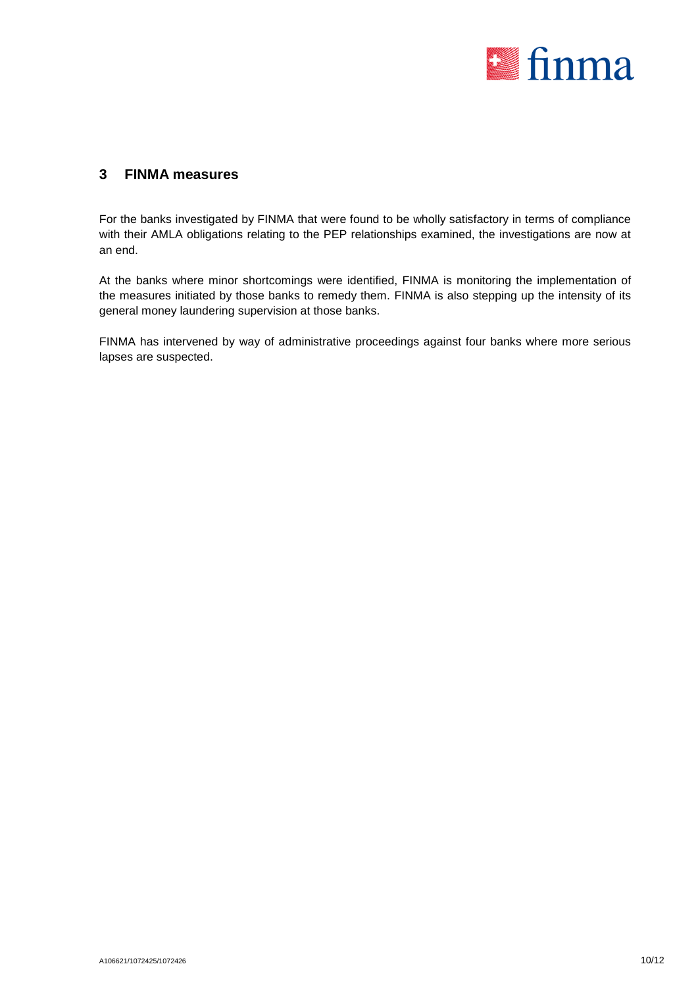

## <span id="page-9-0"></span>**3 FINMA measures**

For the banks investigated by FINMA that were found to be wholly satisfactory in terms of compliance with their AMLA obligations relating to the PEP relationships examined, the investigations are now at an end.

At the banks where minor shortcomings were identified, FINMA is monitoring the implementation of the measures initiated by those banks to remedy them. FINMA is also stepping up the intensity of its general money laundering supervision at those banks.

FINMA has intervened by way of administrative proceedings against four banks where more serious lapses are suspected.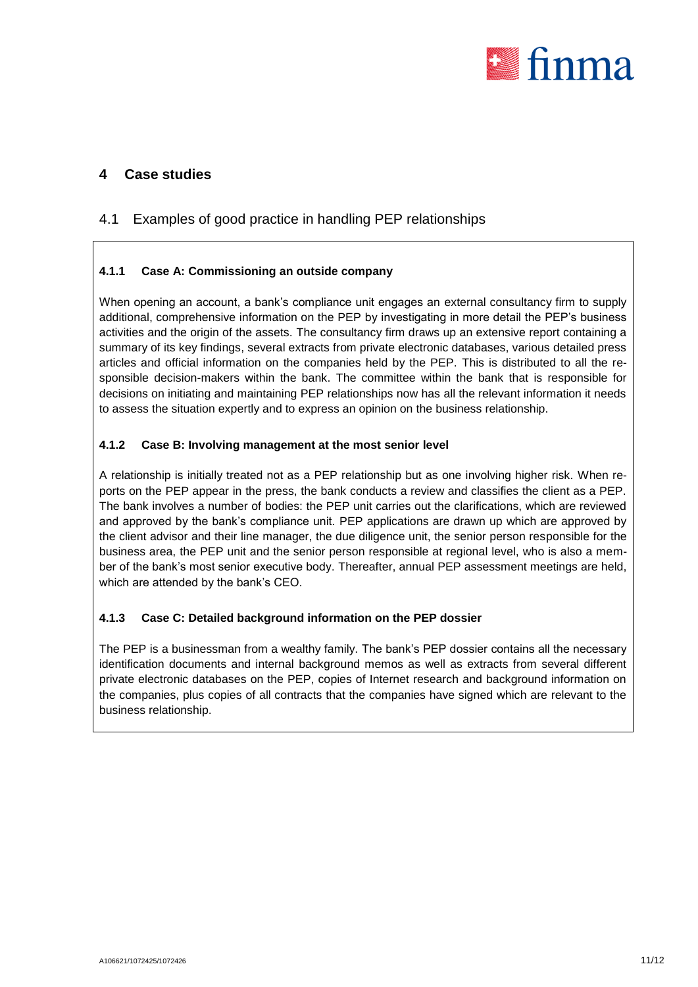

## <span id="page-10-0"></span>**4 Case studies**

## <span id="page-10-1"></span>4.1 Examples of good practice in handling PEP relationships

#### <span id="page-10-2"></span>**4.1.1 Case A: Commissioning an outside company**

When opening an account, a bank"s compliance unit engages an external consultancy firm to supply additional, comprehensive information on the PEP by investigating in more detail the PEP"s business activities and the origin of the assets. The consultancy firm draws up an extensive report containing a summary of its key findings, several extracts from private electronic databases, various detailed press articles and official information on the companies held by the PEP. This is distributed to all the responsible decision-makers within the bank. The committee within the bank that is responsible for decisions on initiating and maintaining PEP relationships now has all the relevant information it needs to assess the situation expertly and to express an opinion on the business relationship.

#### <span id="page-10-3"></span>**4.1.2 Case B: Involving management at the most senior level**

A relationship is initially treated not as a PEP relationship but as one involving higher risk. When reports on the PEP appear in the press, the bank conducts a review and classifies the client as a PEP. The bank involves a number of bodies: the PEP unit carries out the clarifications, which are reviewed and approved by the bank"s compliance unit. PEP applications are drawn up which are approved by the client advisor and their line manager, the due diligence unit, the senior person responsible for the business area, the PEP unit and the senior person responsible at regional level, who is also a member of the bank's most senior executive body. Thereafter, annual PEP assessment meetings are held, which are attended by the bank"s CEO.

#### <span id="page-10-4"></span>**4.1.3 Case C: Detailed background information on the PEP dossier**

The PEP is a businessman from a wealthy family. The bank"s PEP dossier contains all the necessary identification documents and internal background memos as well as extracts from several different private electronic databases on the PEP, copies of Internet research and background information on the companies, plus copies of all contracts that the companies have signed which are relevant to the business relationship.